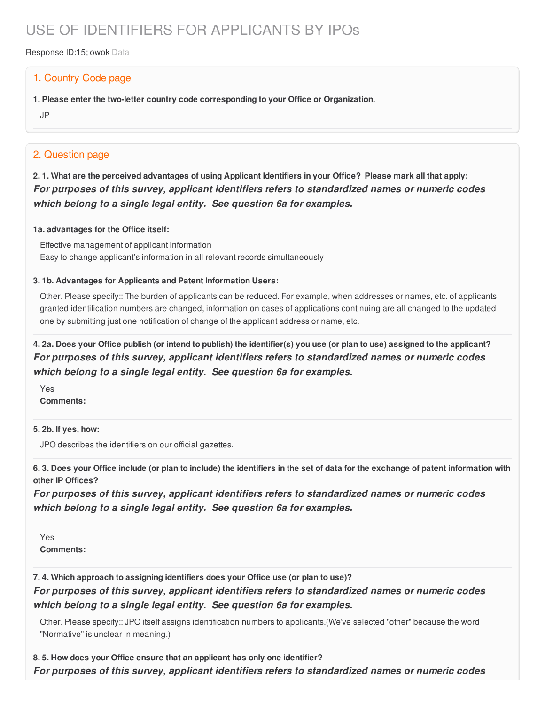# USE OF IDENTIFIERS FOR APPLICANTS BY IPOs

Response ID:15; owok Data

# 1. Country Code page

**1. Please enter the two-letter country code corresponding to your Office or Organization.**

JP

# 2. Question page

2.1. What are the perceived advantages of using Applicant Identifiers in your Office? Please mark all that apply: *For purposes of this survey, applicant identifiers refers to standardized names or numeric codes which belong to a single legal entity. See question 6a for examples.*

### **1a. advantages for the Office itself:**

Effective management of applicant information Easy to change applicant's information in all relevant records simultaneously

### **3. 1b. Advantages for Applicants and Patent Information Users:**

Other. Please specify:: The burden of applicants can be reduced. For example, when addresses or names, etc. of applicants granted identification numbers are changed, information on cases of applications continuing are all changed to the updated one by submitting just one notification of change of the applicant address or name, etc.

# 4. 2a. Does your Office publish (or intend to publish) the identifier(s) you use (or plan to use) assigned to the applicant? *For purposes of this survey, applicant identifiers refers to standardized names or numeric codes which belong to a single legal entity. See question 6a for examples.*

Yes **Comments:**

**5. 2b. If yes, how:**

JPO describes the identifiers on our official gazettes.

6.3. Does your Office include (or plan to include) the identifiers in the set of data for the exchange of patent information with **other IP Offices?**

*For purposes of this survey, applicant identifiers refers to standardized names or numeric codes which belong to a single legal entity. See question 6a for examples.*

Yes **Comments:**

**7. 4. Which approach to assigning identifiers does your Office use (or plan to use)?**

*For purposes of this survey, applicant identifiers refers to standardized names or numeric codes which belong to a single legal entity. See question 6a for examples.*

Other. Please specify:: JPO itself assigns identification numbers to applicants.(We've selected "other" because the word "Normative" is unclear in meaning.)

**8. 5. How does your Office ensure that an applicant has only one identifier?**

*For purposes of this survey, applicant identifiers refers to standardized names or numeric codes*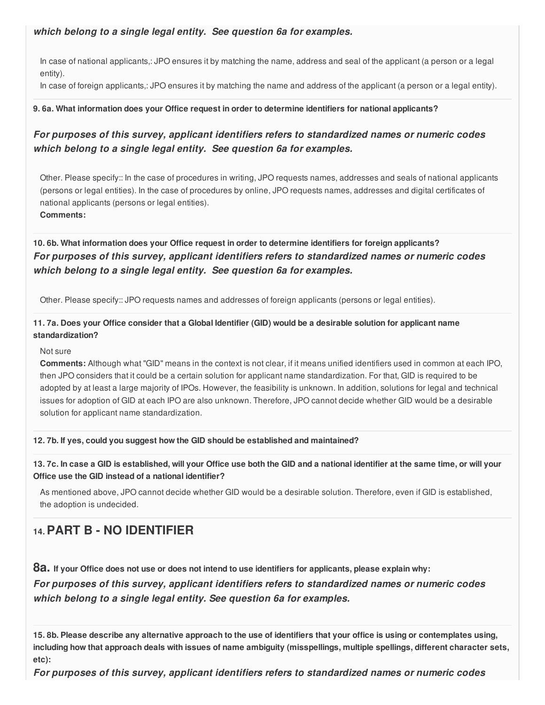## *which belong to a single legal entity. See question 6a for examples.*

In case of national applicants,: JPO ensures it by matching the name, address and seal of the applicant (a person or a legal entity).

In case of foreign applicants,: JPO ensures it by matching the name and address of the applicant (a person or a legal entity).

#### **9. 6a. What information does your Office request in order to determine identifiers for national applicants?**

# *For purposes of this survey, applicant identifiers refers to standardized names or numeric codes which belong to a single legal entity. See question 6a for examples.*

Other. Please specify:: In the case of procedures in writing, JPO requests names, addresses and seals of national applicants (persons or legal entities). In the case of procedures by online, JPO requests names, addresses and digital certificates of national applicants (persons or legal entities).

**Comments:**

# **10. 6b. What information does your Office request in order to determine identifiers for foreign applicants?** *For purposes of this survey, applicant identifiers refers to standardized names or numeric codes which belong to a single legal entity. See question 6a for examples.*

Other. Please specify:: JPO requests names and addresses of foreign applicants (persons or legal entities).

### 11.7a. Does your Office consider that a Global Identifier (GID) would be a desirable solution for applicant name **standardization?**

#### Not sure

**Comments:** Although what "GID" means in the context is not clear, if it means unified identifiers used in common at each IPO, then JPO considers that it could be a certain solution for applicant name standardization. For that, GID is required to be adopted by at least a large majority of IPOs. However, the feasibility is unknown. In addition, solutions for legal and technical issues for adoption of GID at each IPO are also unknown. Therefore, JPO cannot decide whether GID would be a desirable solution for applicant name standardization.

#### **12. 7b. If yes, could you suggest how the GID should be established and maintained?**

13.7c. In case a GID is established, will your Office use both the GID and a national identifier at the same time, or will your **Office use the GID instead of a national identifier?**

As mentioned above, JPO cannot decide whether GID would be a desirable solution. Therefore, even if GID is established, the adoption is undecided.

# **14.PART B - NO IDENTIFIER**

8a. If your Office does not use or does not intend to use identifiers for applicants, please explain why:

*For purposes of this survey, applicant identifiers refers to standardized names or numeric codes which belong to a single legal entity. See question 6a for examples.*

15.8b. Please describe any alternative approach to the use of identifiers that your office is using or contemplates using, including how that approach deals with issues of name ambiguity (misspellings, multiple spellings, different character sets, **etc):**

*For purposes of this survey, applicant identifiers refers to standardized names or numeric codes*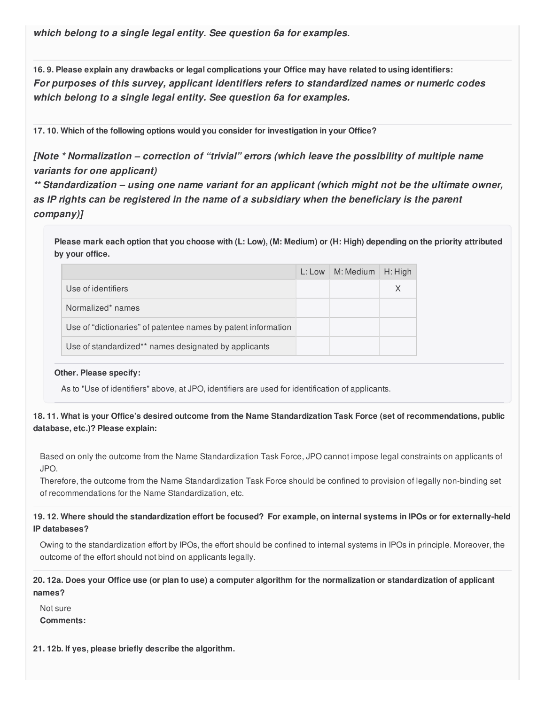*which belong to a single legal entity. See question 6a for examples.*

16.9. Please explain any drawbacks or legal complications your Office may have related to using identifiers: *For purposes of this survey, applicant identifiers refers to standardized names or numeric codes which belong to a single legal entity. See question 6a for examples.*

**17. 10. Which of the following options would you consider for investigation in your Office?**

*[Note \* Normalization – correction of "trivial" errors (which leave the possibility of multiple name variants for one applicant)*

*\*\* Standardization – using one name variant for an applicant (which might not be the ultimate owner, as IP rights can be registered in the name of a subsidiary when the beneficiary is the parent company)]*

Please mark each option that you choose with (L: Low), (M: Medium) or (H: High) depending on the priority attributed **by your office.**

|                                                               | $L:$ Low | M: Medium | H: High  |
|---------------------------------------------------------------|----------|-----------|----------|
| Use of identifiers                                            |          |           | $\times$ |
| Normalized* names                                             |          |           |          |
| Use of "dictionaries" of patentee names by patent information |          |           |          |
| Use of standardized** names designated by applicants          |          |           |          |

#### **Other. Please specify:**

As to "Use of identifiers" above, at JPO, identifiers are used for identification of applicants.

### 18.11. What is your Office's desired outcome from the Name Standardization Task Force (set of recommendations, public **database, etc.)? Please explain:**

Based on only the outcome from the Name Standardization Task Force, JPO cannot impose legal constraints on applicants of JPO.

Therefore, the outcome from the Name Standardization Task Force should be confined to provision of legally non-binding set of recommendations for the Name Standardization, etc.

### 19.12. Where should the standardization effort be focused? For example, on internal systems in IPOs or for externally-held **IP databases?**

Owing to the standardization effort by IPOs, the effort should be confined to internal systems in IPOs in principle. Moreover, the outcome of the effort should not bind on applicants legally.

20.12a. Does your Office use (or plan to use) a computer algorithm for the normalization or standardization of applicant **names?**

Not sure

**Comments:**

**21. 12b. If yes, please briefly describe the algorithm.**